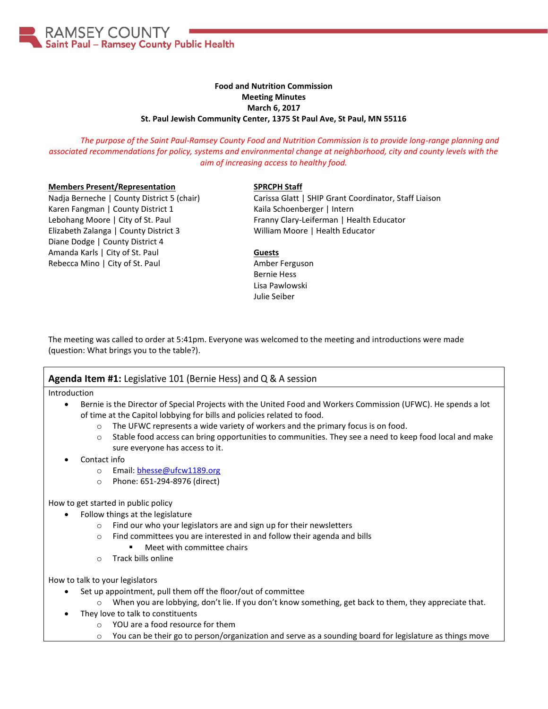

# **Food and Nutrition Commission Meeting Minutes March 6, 2017 St. Paul Jewish Community Center, 1375 St Paul Ave, St Paul, MN 55116**

*The purpose of the Saint Paul-Ramsey County Food and Nutrition Commission is to provide long-range planning and associated recommendations for policy, systems and environmental change at neighborhood, city and county levels with the aim of increasing access to healthy food.*

### **Members Present/Representation**

Nadja Berneche | County District 5 (chair) Karen Fangman | County District 1 Lebohang Moore | City of St. Paul Elizabeth Zalanga | County District 3 Diane Dodge | County District 4 Amanda Karls | City of St. Paul Rebecca Mino | City of St. Paul

### **SPRCPH Staff**

Carissa Glatt | SHIP Grant Coordinator, Staff Liaison Kaila Schoenberger | Intern Franny Clary-Leiferman | Health Educator William Moore | Health Educator

### **Guests**

Amber Ferguson Bernie Hess Lisa Pawlowski Julie Seiber

The meeting was called to order at 5:41pm. Everyone was welcomed to the meeting and introductions were made (question: What brings you to the table?).

## **Agenda Item #1:** Legislative 101 (Bernie Hess) and Q & A session

Introduction

- Bernie is the Director of Special Projects with the United Food and Workers Commission (UFWC). He spends a lot of time at the Capitol lobbying for bills and policies related to food.
	- o The UFWC represents a wide variety of workers and the primary focus is on food.
	- $\circ$  Stable food access can bring opportunities to communities. They see a need to keep food local and make sure everyone has access to it.
- Contact info
	- o Email: [bhesse@ufcw1189.org](mailto:bhesse@ufcw1189.org)
	- o Phone: 651-294-8976 (direct)

## How to get started in public policy

- Follow things at the legislature
	- o Find our who your legislators are and sign up for their newsletters
	- o Find committees you are interested in and follow their agenda and bills
		- Meet with committee chairs
	- o Track bills online

How to talk to your legislators

- Set up appointment, pull them off the floor/out of committee
	- $\circ$  When you are lobbying, don't lie. If you don't know something, get back to them, they appreciate that.
- They love to talk to constituents
	- o YOU are a food resource for them
	- o You can be their go to person/organization and serve as a sounding board for legislature as things move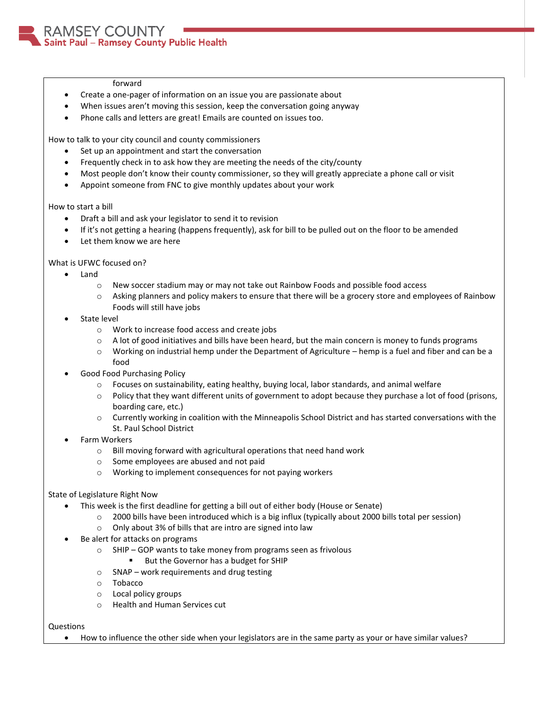### forward

- Create a one-pager of information on an issue you are passionate about
- When issues aren't moving this session, keep the conversation going anyway
- Phone calls and letters are great! Emails are counted on issues too.

How to talk to your city council and county commissioners

- Set up an appointment and start the conversation
- Frequently check in to ask how they are meeting the needs of the city/county
- Most people don't know their county commissioner, so they will greatly appreciate a phone call or visit
- Appoint someone from FNC to give monthly updates about your work

How to start a bill

- Draft a bill and ask your legislator to send it to revision
- If it's not getting a hearing (happens frequently), ask for bill to be pulled out on the floor to be amended
- Let them know we are here

What is UFWC focused on?

- Land
	- o New soccer stadium may or may not take out Rainbow Foods and possible food access
	- o Asking planners and policy makers to ensure that there will be a grocery store and employees of Rainbow Foods will still have jobs
- State level
	- o Work to increase food access and create jobs
	- $\circ$  A lot of good initiatives and bills have been heard, but the main concern is money to funds programs
	- $\circ$  Working on industrial hemp under the Department of Agriculture hemp is a fuel and fiber and can be a food
- Good Food Purchasing Policy
	- o Focuses on sustainability, eating healthy, buying local, labor standards, and animal welfare
	- o Policy that they want different units of government to adopt because they purchase a lot of food (prisons, boarding care, etc.)
	- o Currently working in coalition with the Minneapolis School District and has started conversations with the St. Paul School District
- Farm Workers
	- o Bill moving forward with agricultural operations that need hand work
	- o Some employees are abused and not paid
	- o Working to implement consequences for not paying workers

### State of Legislature Right Now

- This week is the first deadline for getting a bill out of either body (House or Senate)
	- o 2000 bills have been introduced which is a big influx (typically about 2000 bills total per session)
	- o Only about 3% of bills that are intro are signed into law
- Be alert for attacks on programs
	- o SHIP GOP wants to take money from programs seen as frivolous
		- But the Governor has a budget for SHIP
	- o SNAP work requirements and drug testing
	- o Tobacco
	- o Local policy groups
	- o Health and Human Services cut

### Questions

How to influence the other side when your legislators are in the same party as your or have similar values?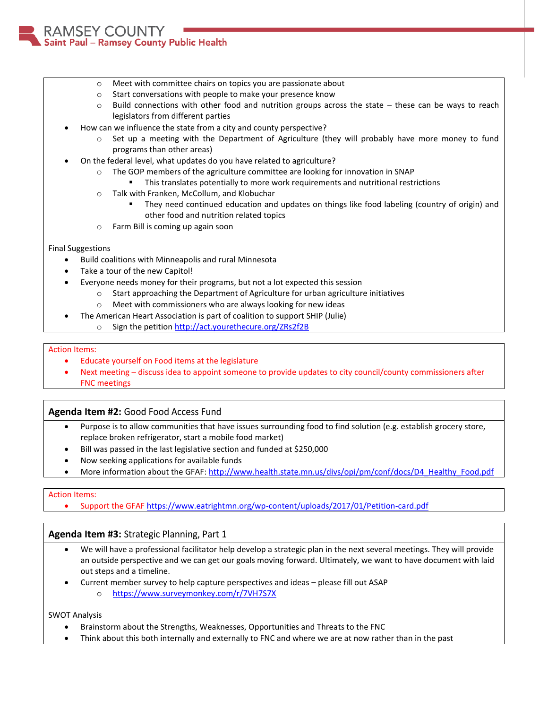MSEY COUNTY Saint Paul - Ramsey County Public Health

- o Meet with committee chairs on topics you are passionate about
- o Start conversations with people to make your presence know
- $\circ$  Build connections with other food and nutrition groups across the state these can be ways to reach legislators from different parties
- How can we influence the state from a city and county perspective?
	- Set up a meeting with the Department of Agriculture (they will probably have more money to fund programs than other areas)
- On the federal level, what updates do you have related to agriculture?
	- $\circ$  The GOP members of the agriculture committee are looking for innovation in SNAP
		- This translates potentially to more work requirements and nutritional restrictions
	- o Talk with Franken, McCollum, and Klobuchar
		- They need continued education and updates on things like food labeling (country of origin) and other food and nutrition related topics
	- o Farm Bill is coming up again soon

## Final Suggestions

- Build coalitions with Minneapolis and rural Minnesota
- Take a tour of the new Capitol!
- Everyone needs money for their programs, but not a lot expected this session
	- o Start approaching the Department of Agriculture for urban agriculture initiatives
	- o Meet with commissioners who are always looking for new ideas
- The American Heart Association is part of coalition to support SHIP (Julie)
	- o Sign the petition<http://act.yourethecure.org/ZRs2f2B>

## Action Items:

- Educate yourself on Food items at the legislature
- Next meeting discuss idea to appoint someone to provide updates to city council/county commissioners after FNC meetings

# **Agenda Item #2:** Good Food Access Fund

- Purpose is to allow communities that have issues surrounding food to find solution (e.g. establish grocery store, replace broken refrigerator, start a mobile food market)
- Bill was passed in the last legislative section and funded at \$250,000
- Now seeking applications for available funds
- More information about the GFAF: [http://www.health.state.mn.us/divs/opi/pm/conf/docs/D4\\_Healthy\\_Food.pdf](http://www.health.state.mn.us/divs/opi/pm/conf/docs/D4_Healthy_Food.pdf)

## Action Items:

Support the GFAF <https://www.eatrightmn.org/wp-content/uploads/2017/01/Petition-card.pdf>

# **Agenda Item #3:** Strategic Planning, Part 1

- We will have a professional facilitator help develop a strategic plan in the next several meetings. They will provide an outside perspective and we can get our goals moving forward. Ultimately, we want to have document with laid out steps and a timeline.
- Current member survey to help capture perspectives and ideas please fill out ASAP o <https://www.surveymonkey.com/r/7VH7S7X>

SWOT Analysis

- Brainstorm about the Strengths, Weaknesses, Opportunities and Threats to the FNC
- Think about this both internally and externally to FNC and where we are at now rather than in the past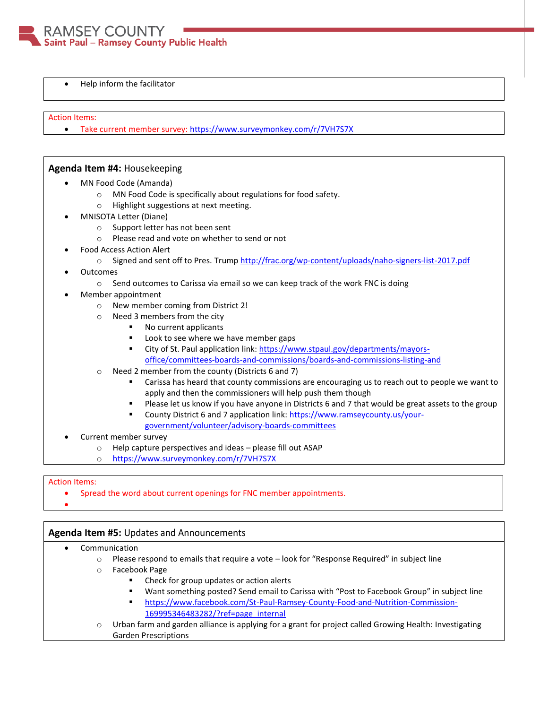

Help inform the facilitator

### Action Items:

Take current member survey:<https://www.surveymonkey.com/r/7VH7S7X>

## **Agenda Item #4:** Housekeeping

- MN Food Code (Amanda)
	- o MN Food Code is specifically about regulations for food safety.
	- o Highlight suggestions at next meeting.
- MNISOTA Letter (Diane)
	- o Support letter has not been sent
	- o Please read and vote on whether to send or not
- Food Access Action Alert
	- o Signed and sent off to Pres. Trump <http://frac.org/wp-content/uploads/naho-signers-list-2017.pdf>
- **Outcomes** 
	- $\circ$  Send outcomes to Carissa via email so we can keep track of the work FNC is doing
- Member appointment
	- o New member coming from District 2!
	- o Need 3 members from the city
		- No current applicants
		- **Look to see where we have member gaps**
		- City of St. Paul application link[: https://www.stpaul.gov/departments/mayors](https://www.stpaul.gov/departments/mayors-office/committees-boards-and-commissions/boards-and-commissions-listing-and)[office/committees-boards-and-commissions/boards-and-commissions-listing-and](https://www.stpaul.gov/departments/mayors-office/committees-boards-and-commissions/boards-and-commissions-listing-and)
	- o Need 2 member from the county (Districts 6 and 7)
		- Carissa has heard that county commissions are encouraging us to reach out to people we want to apply and then the commissioners will help push them though
		- **Please let us know if you have anyone in Districts 6 and 7 that would be great assets to the group**
		- County District 6 and 7 application link[: https://www.ramseycounty.us/your](https://www.ramseycounty.us/your-government/volunteer/advisory-boards-committees)[government/volunteer/advisory-boards-committees](https://www.ramseycounty.us/your-government/volunteer/advisory-boards-committees)
- Current member survey
	- o Help capture perspectives and ideas please fill out ASAP
	- o <https://www.surveymonkey.com/r/7VH7S7X>

### Action Items:

- Spread the word about current openings for FNC member appointments.
- $\bullet$

## **Agenda Item #5:** Updates and Announcements

- Communication
	- o Please respond to emails that require a vote look for "Response Required" in subject line
	- o Facebook Page
		- **EXECUTE:** Check for group updates or action alerts
		- Want something posted? Send email to Carissa with "Post to Facebook Group" in subject line
		- [https://www.facebook.com/St-Paul-Ramsey-County-Food-and-Nutrition-Commission-](https://www.facebook.com/St-Paul-Ramsey-County-Food-and-Nutrition-Commission-169995346483282/?ref=page_internal)[169995346483282/?ref=page\\_internal](https://www.facebook.com/St-Paul-Ramsey-County-Food-and-Nutrition-Commission-169995346483282/?ref=page_internal)
	- o Urban farm and garden alliance is applying for a grant for project called Growing Health: Investigating Garden Prescriptions